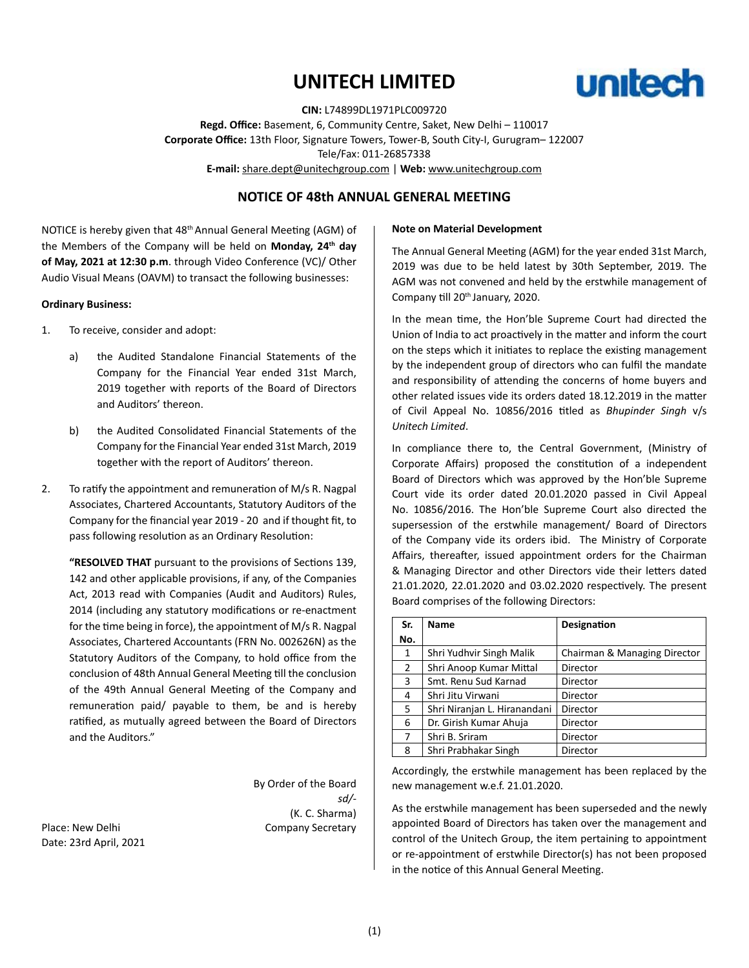# **UNITECH LIMITED**



**CIN:** L74899DL1971PLC009720 **Regd. Office:** Basement, 6, Community Centre, Saket, New Delhi – 110017 **Corporate Office:** 13th Floor, Signature Towers, Tower-B, South City-I, Gurugram– 122007 Tele/Fax: 011-26857338 **E-mail:** share.dept@unitechgroup.com | **Web:** www.unitechgroup.com

# **NOTICE OF 48th ANNUAL GENERAL MEETING**

NOTICE is hereby given that 48th Annual General Meeting (AGM) of the Members of the Company will be held on **Monday, 24th day of May, 2021 at 12:30 p.m**. through Video Conference (VC)/ Other Audio Visual Means (OAVM) to transact the following businesses:

### **Ordinary Business:**

- 1. To receive, consider and adopt:
	- a) the Audited Standalone Financial Statements of the Company for the Financial Year ended 31st March, 2019 together with reports of the Board of Directors and Auditors' thereon.
	- b) the Audited Consolidated Financial Statements of the Company for the Financial Year ended 31st March, 2019 together with the report of Auditors' thereon.
- 2. To ratify the appointment and remuneration of M/s R. Nagpal Associates, Chartered Accountants, Statutory Auditors of the Company for the financial year 2019 - 20 and if thought fit, to pass following resolution as an Ordinary Resolution:

**"RESOLVED THAT** pursuant to the provisions of Sections 139, 142 and other applicable provisions, if any, of the Companies Act, 2013 read with Companies (Audit and Auditors) Rules, 2014 (including any statutory modifications or re-enactment for the time being in force), the appointment of M/s R. Nagpal Associates, Chartered Accountants (FRN No. 002626N) as the Statutory Auditors of the Company, to hold office from the conclusion of 48th Annual General Meeting till the conclusion of the 49th Annual General Meeting of the Company and remuneration paid/ payable to them, be and is hereby ratified, as mutually agreed between the Board of Directors and the Auditors."

By Order of the Board *sd/-* (K. C. Sharma) Place: New Delhi **Company Secretary** 

### **Note on Material Development**

The Annual General Meeting (AGM) for the year ended 31st March, 2019 was due to be held latest by 30th September, 2019. The AGM was not convened and held by the erstwhile management of Company till 20<sup>th</sup> January, 2020.

In the mean time, the Hon'ble Supreme Court had directed the Union of India to act proactively in the matter and inform the court on the steps which it initiates to replace the existing management by the independent group of directors who can fulfil the mandate and responsibility of attending the concerns of home buyers and other related issues vide its orders dated 18.12.2019 in the matter of Civil Appeal No. 10856/2016 titled as *Bhupinder Singh* v/s *Unitech Limited*.

In compliance there to, the Central Government, (Ministry of Corporate Affairs) proposed the constitution of a independent Board of Directors which was approved by the Hon'ble Supreme Court vide its order dated 20.01.2020 passed in Civil Appeal No. 10856/2016. The Hon'ble Supreme Court also directed the supersession of the erstwhile management/ Board of Directors of the Company vide its orders ibid. The Ministry of Corporate Affairs, thereafter, issued appointment orders for the Chairman & Managing Director and other Directors vide their letters dated 21.01.2020, 22.01.2020 and 03.02.2020 respectively. The present Board comprises of the following Directors:

| Sr.            | <b>Name</b>                  | <b>Designation</b>           |
|----------------|------------------------------|------------------------------|
| No.            |                              |                              |
| 1              | Shri Yudhvir Singh Malik     | Chairman & Managing Director |
| $\overline{2}$ | Shri Anoop Kumar Mittal      | Director                     |
| 3              | Smt. Renu Sud Karnad         | Director                     |
| 4              | Shri Jitu Virwani            | Director                     |
| 5              | Shri Niranjan L. Hiranandani | Director                     |
| 6              | Dr. Girish Kumar Ahuja       | Director                     |
| 7              | Shri B. Sriram               | Director                     |
| 8              | Shri Prabhakar Singh         | Director                     |

Accordingly, the erstwhile management has been replaced by the new management w.e.f. 21.01.2020.

As the erstwhile management has been superseded and the newly appointed Board of Directors has taken over the management and control of the Unitech Group, the item pertaining to appointment or re-appointment of erstwhile Director(s) has not been proposed in the notice of this Annual General Meeting.

Date: 23rd April, 2021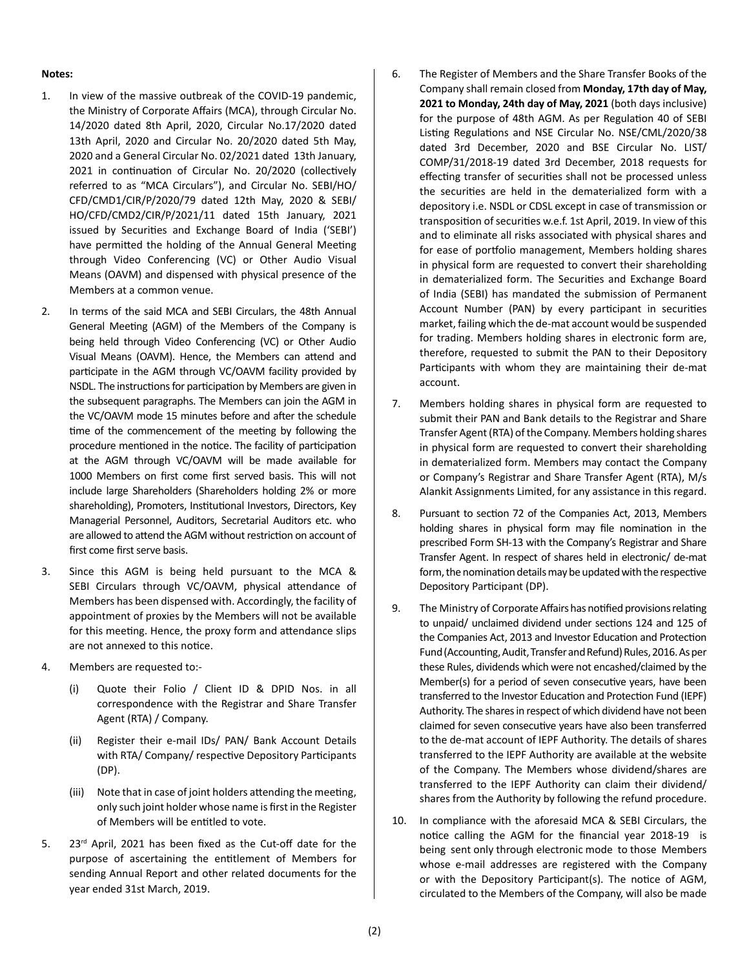#### **Notes:**

- 1. In view of the massive outbreak of the COVID-19 pandemic, the Ministry of Corporate Affairs (MCA), through Circular No. 14/2020 dated 8th April, 2020, Circular No.17/2020 dated 13th April, 2020 and Circular No. 20/2020 dated 5th May, 2020 and a General Circular No. 02/2021 dated 13th January, 2021 in continuation of Circular No. 20/2020 (collectively referred to as "MCA Circulars"), and Circular No. SEBI/HO/ CFD/CMD1/CIR/P/2020/79 dated 12th May, 2020 & SEBI/ HO/CFD/CMD2/CIR/P/2021/11 dated 15th January, 2021 issued by Securities and Exchange Board of India ('SEBI') have permitted the holding of the Annual General Meeting through Video Conferencing (VC) or Other Audio Visual Means (OAVM) and dispensed with physical presence of the Members at a common venue.
- 2. In terms of the said MCA and SEBI Circulars, the 48th Annual General Meeting (AGM) of the Members of the Company is being held through Video Conferencing (VC) or Other Audio Visual Means (OAVM). Hence, the Members can attend and participate in the AGM through VC/OAVM facility provided by NSDL. The instructions for participation by Members are given in the subsequent paragraphs. The Members can join the AGM in the VC/OAVM mode 15 minutes before and after the schedule time of the commencement of the meeting by following the procedure mentioned in the notice. The facility of participation at the AGM through VC/OAVM will be made available for 1000 Members on first come first served basis. This will not include large Shareholders (Shareholders holding 2% or more shareholding), Promoters, Institutional Investors, Directors, Key Managerial Personnel, Auditors, Secretarial Auditors etc. who are allowed to attend the AGM without restriction on account of first come first serve basis.
- 3. Since this AGM is being held pursuant to the MCA & SEBI Circulars through VC/OAVM, physical attendance of Members has been dispensed with. Accordingly, the facility of appointment of proxies by the Members will not be available for this meeting. Hence, the proxy form and attendance slips are not annexed to this notice.
- 4. Members are requested to:-
	- (i) Quote their Folio / Client ID & DPID Nos. in all correspondence with the Registrar and Share Transfer Agent (RTA) / Company.
	- (ii) Register their e-mail IDs/ PAN/ Bank Account Details with RTA/ Company/ respective Depository Participants (DP).
	- (iii) Note that in case of joint holders attending the meeting, only such joint holder whose name is first in the Register of Members will be entitled to vote.
- 5. 23<sup>rd</sup> April, 2021 has been fixed as the Cut-off date for the purpose of ascertaining the entitlement of Members for sending Annual Report and other related documents for the year ended 31st March, 2019.
- 6. The Register of Members and the Share Transfer Books of the Company shall remain closed from **Monday, 17th day of May, 2021 to Monday, 24th day of May, 2021** (both days inclusive) for the purpose of 48th AGM. As per Regulation 40 of SEBI Listing Regulations and NSE Circular No. NSE/CML/2020/38 dated 3rd December, 2020 and BSE Circular No. LIST/ COMP/31/2018-19 dated 3rd December, 2018 requests for effecting transfer of securities shall not be processed unless the securities are held in the dematerialized form with a depository i.e. NSDL or CDSL except in case of transmission or transposition of securities w.e.f. 1st April, 2019. In view of this and to eliminate all risks associated with physical shares and for ease of portfolio management, Members holding shares in physical form are requested to convert their shareholding in dematerialized form. The Securities and Exchange Board of India (SEBI) has mandated the submission of Permanent Account Number (PAN) by every participant in securities market, failing which the de-mat account would be suspended for trading. Members holding shares in electronic form are, therefore, requested to submit the PAN to their Depository Participants with whom they are maintaining their de-mat account.
- 7. Members holding shares in physical form are requested to submit their PAN and Bank details to the Registrar and Share Transfer Agent (RTA) of the Company. Members holding shares in physical form are requested to convert their shareholding in dematerialized form. Members may contact the Company or Company's Registrar and Share Transfer Agent (RTA), M/s Alankit Assignments Limited, for any assistance in this regard.
- 8. Pursuant to section 72 of the Companies Act, 2013, Members holding shares in physical form may file nomination in the prescribed Form SH-13 with the Company's Registrar and Share Transfer Agent. In respect of shares held in electronic/ de-mat form, the nomination details may be updated with the respective Depository Participant (DP).
- 9. The Ministry of Corporate Affairs has notified provisions relating to unpaid/ unclaimed dividend under sections 124 and 125 of the Companies Act, 2013 and Investor Education and Protection Fund (Accounting, Audit, Transfer and Refund) Rules, 2016. As per these Rules, dividends which were not encashed/claimed by the Member(s) for a period of seven consecutive years, have been transferred to the Investor Education and Protection Fund (IEPF) Authority. The shares in respect of which dividend have not been claimed for seven consecutive years have also been transferred to the de-mat account of IEPF Authority. The details of shares transferred to the IEPF Authority are available at the website of the Company. The Members whose dividend/shares are transferred to the IEPF Authority can claim their dividend/ shares from the Authority by following the refund procedure.
- 10. In compliance with the aforesaid MCA & SEBI Circulars, the notice calling the AGM for the financial year 2018-19 is being sent only through electronic mode to those Members whose e-mail addresses are registered with the Company or with the Depository Participant(s). The notice of AGM, circulated to the Members of the Company, will also be made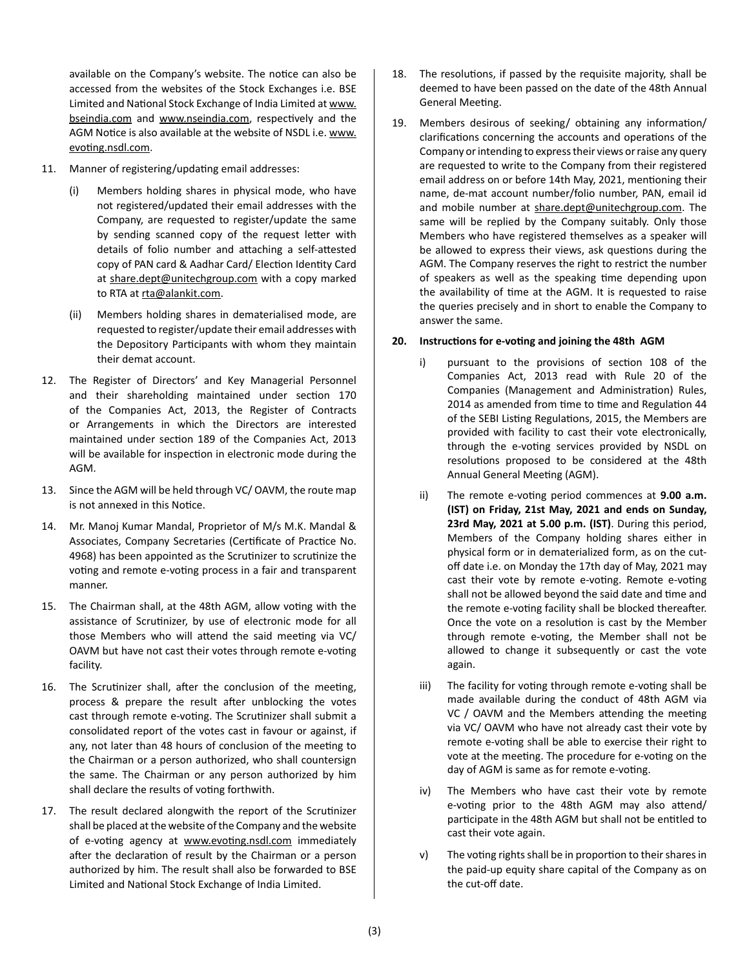available on the Company's website. The notice can also be accessed from the websites of the Stock Exchanges i.e. BSE Limited and National Stock Exchange of India Limited at www. bseindia.com and www.nseindia.com, respectively and the AGM Notice is also available at the website of NSDL i.e. www. evoting.nsdl.com.

- 11. Manner of registering/updating email addresses:
	- (i) Members holding shares in physical mode, who have not registered/updated their email addresses with the Company, are requested to register/update the same by sending scanned copy of the request letter with details of folio number and attaching a self-attested copy of PAN card & Aadhar Card/ Election Identity Card at share.dept@unitechgroup.com with a copy marked to RTA at rta@alankit.com.
	- (ii) Members holding shares in dematerialised mode, are requested to register/update their email addresses with the Depository Participants with whom they maintain their demat account.
- 12. The Register of Directors' and Key Managerial Personnel and their shareholding maintained under section 170 of the Companies Act, 2013, the Register of Contracts or Arrangements in which the Directors are interested maintained under section 189 of the Companies Act, 2013 will be available for inspection in electronic mode during the AGM.
- 13. Since the AGM will be held through VC/ OAVM, the route map is not annexed in this Notice.
- 14. Mr. Manoj Kumar Mandal, Proprietor of M/s M.K. Mandal & Associates, Company Secretaries (Certificate of Practice No. 4968) has been appointed as the Scrutinizer to scrutinize the voting and remote e-voting process in a fair and transparent manner.
- 15. The Chairman shall, at the 48th AGM, allow voting with the assistance of Scrutinizer, by use of electronic mode for all those Members who will attend the said meeting via VC/ OAVM but have not cast their votes through remote e-voting facility.
- 16. The Scrutinizer shall, after the conclusion of the meeting, process & prepare the result after unblocking the votes cast through remote e-voting. The Scrutinizer shall submit a consolidated report of the votes cast in favour or against, if any, not later than 48 hours of conclusion of the meeting to the Chairman or a person authorized, who shall countersign the same. The Chairman or any person authorized by him shall declare the results of voting forthwith.
- 17. The result declared alongwith the report of the Scrutinizer shall be placed at the website of the Company and the website of e-voting agency at www.evoting.nsdl.com immediately after the declaration of result by the Chairman or a person authorized by him. The result shall also be forwarded to BSE Limited and National Stock Exchange of India Limited.
- 18. The resolutions, if passed by the requisite majority, shall be deemed to have been passed on the date of the 48th Annual General Meeting.
- 19. Members desirous of seeking/ obtaining any information/ clarifications concerning the accounts and operations of the Company or intending to express their views or raise any query are requested to write to the Company from their registered email address on or before 14th May, 2021, mentioning their name, de-mat account number/folio number, PAN, email id and mobile number at share.dept@unitechgroup.com. The same will be replied by the Company suitably. Only those Members who have registered themselves as a speaker will be allowed to express their views, ask questions during the AGM. The Company reserves the right to restrict the number of speakers as well as the speaking time depending upon the availability of time at the AGM. It is requested to raise the queries precisely and in short to enable the Company to answer the same.

### **20. Instructions for e-voting and joining the 48th AGM**

- i) pursuant to the provisions of section 108 of the Companies Act, 2013 read with Rule 20 of the Companies (Management and Administration) Rules, 2014 as amended from time to time and Regulation 44 of the SEBI Listing Regulations, 2015, the Members are provided with facility to cast their vote electronically, through the e-voting services provided by NSDL on resolutions proposed to be considered at the 48th Annual General Meeting (AGM).
- ii) The remote e-voting period commences at **9.00 a.m. (IST) on Friday, 21st May, 2021 and ends on Sunday, 23rd May, 2021 at 5.00 p.m. (IST)**. During this period, Members of the Company holding shares either in physical form or in dematerialized form, as on the cutoff date i.e. on Monday the 17th day of May, 2021 may cast their vote by remote e-voting. Remote e-voting shall not be allowed beyond the said date and time and the remote e-voting facility shall be blocked thereafter. Once the vote on a resolution is cast by the Member through remote e-voting, the Member shall not be allowed to change it subsequently or cast the vote again.
- iii) The facility for voting through remote e-voting shall be made available during the conduct of 48th AGM via VC / OAVM and the Members attending the meeting via VC/ OAVM who have not already cast their vote by remote e-voting shall be able to exercise their right to vote at the meeting. The procedure for e-voting on the day of AGM is same as for remote e-voting.
- iv) The Members who have cast their vote by remote e-voting prior to the 48th AGM may also attend/ participate in the 48th AGM but shall not be entitled to cast their vote again.
- v) The voting rights shall be in proportion to their shares in the paid-up equity share capital of the Company as on the cut-off date.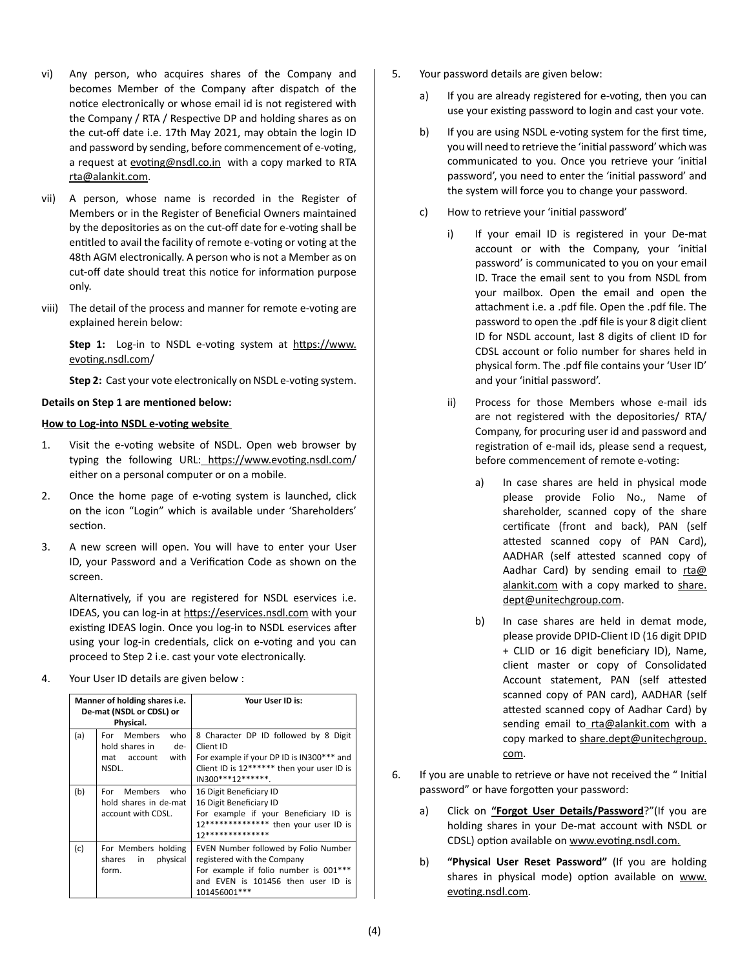- vi) Any person, who acquires shares of the Company and becomes Member of the Company after dispatch of the notice electronically or whose email id is not registered with the Company / RTA / Respective DP and holding shares as on the cut-off date i.e. 17th May 2021, may obtain the login ID and password by sending, before commencement of e-voting, a request at evoting@nsdl.co.in with a copy marked to RTA rta@alankit.com.
- vii) A person, whose name is recorded in the Register of Members or in the Register of Beneficial Owners maintained by the depositories as on the cut-off date for e-voting shall be entitled to avail the facility of remote e-voting or voting at the 48th AGM electronically. A person who is not a Member as on cut-off date should treat this notice for information purpose only.
- viii) The detail of the process and manner for remote e-voting are explained herein below:

**Step 1:** Log-in to NSDL e-voting system at https://www. evoting.nsdl.com/

**Step 2:** Cast your vote electronically on NSDL e-voting system.

# **Details on Step 1 are mentioned below: How to Log-into NSDL e-voting website**

- 1. Visit the e-voting website of NSDL. Open web browser by typing the following URL: https://www.evoting.nsdl.com/ either on a personal computer or on a mobile.
- 2. Once the home page of e-voting system is launched, click on the icon "Login" which is available under 'Shareholders' section.
- 3. A new screen will open. You will have to enter your User ID, your Password and a Verification Code as shown on the screen.

Alternatively, if you are registered for NSDL eservices i.e. IDEAS, you can log-in at https://eservices.nsdl.com with your existing IDEAS login. Once you log-in to NSDL eservices after using your log-in credentials, click on e-voting and you can proceed to Step 2 i.e. cast your vote electronically.

4. Your User ID details are given below :

| Manner of holding shares i.e.<br>De-mat (NSDL or CDSL) or<br>Physical. |                                                                                    | Your User ID is:                                                                                                                                                    |
|------------------------------------------------------------------------|------------------------------------------------------------------------------------|---------------------------------------------------------------------------------------------------------------------------------------------------------------------|
| (a)                                                                    | <b>Members</b><br>who<br>For<br>hold shares in<br>de-<br>mat account with<br>NSDL. | 8 Character DP ID followed by 8 Digit<br>Client ID<br>For example if your DP ID is IN300*** and<br>Client ID is 12****** then your user ID is<br>$IN300***12******$ |
| (b)                                                                    | For Members<br>who<br>hold shares in de-mat<br>account with CDSL.                  | 16 Digit Beneficiary ID<br>16 Digit Beneficiary ID<br>For example if your Beneficiary ID is<br>12************** then your user ID is<br>17**************            |
| (c)                                                                    | For Members holding<br>shares in<br>physical<br>form.                              | EVEN Number followed by Folio Number<br>registered with the Company<br>For example if folio number is 001***<br>and EVEN is 101456 then user ID is<br>101456001***  |

- 5. Your password details are given below:
	- a) If you are already registered for e-voting, then you can use your existing password to login and cast your vote.
	- b) If you are using NSDL e-voting system for the first time, you will need to retrieve the 'initial password' which was communicated to you. Once you retrieve your 'initial password', you need to enter the 'initial password' and the system will force you to change your password.
	- c) How to retrieve your 'initial password'
		- i) If your email ID is registered in your De-mat account or with the Company, your 'initial password' is communicated to you on your email ID. Trace the email sent to you from NSDL from your mailbox. Open the email and open the attachment i.e. a .pdf file. Open the .pdf file. The password to open the .pdf file is your 8 digit client ID for NSDL account, last 8 digits of client ID for CDSL account or folio number for shares held in physical form. The .pdf file contains your 'User ID' and your 'initial password'.
		- ii) Process for those Members whose e-mail ids are not registered with the depositories/ RTA/ Company, for procuring user id and password and registration of e-mail ids, please send a request, before commencement of remote e-voting:
			- a) In case shares are held in physical mode please provide Folio No., Name of shareholder, scanned copy of the share certificate (front and back), PAN (self attested scanned copy of PAN Card), AADHAR (self attested scanned copy of Aadhar Card) by sending email to  $rta@$ alankit.com with a copy marked to share. dept@unitechgroup.com.
			- b) In case shares are held in demat mode, please provide DPID-Client ID (16 digit DPID + CLID or 16 digit beneficiary ID), Name, client master or copy of Consolidated Account statement, PAN (self attested scanned copy of PAN card), AADHAR (self attested scanned copy of Aadhar Card) by sending email to\_rta@alankit.com with a copy marked to share.dept@unitechgroup. com.
- 6. If you are unable to retrieve or have not received the " Initial password" or have forgotten your password:
	- a) Click on **"Forgot User Details/Password**?"(If you are holding shares in your De-mat account with NSDL or CDSL) option available on www.evoting.nsdl.com.
	- b) **"Physical User Reset Password"** (If you are holding shares in physical mode) option available on www. evoting.nsdl.com.